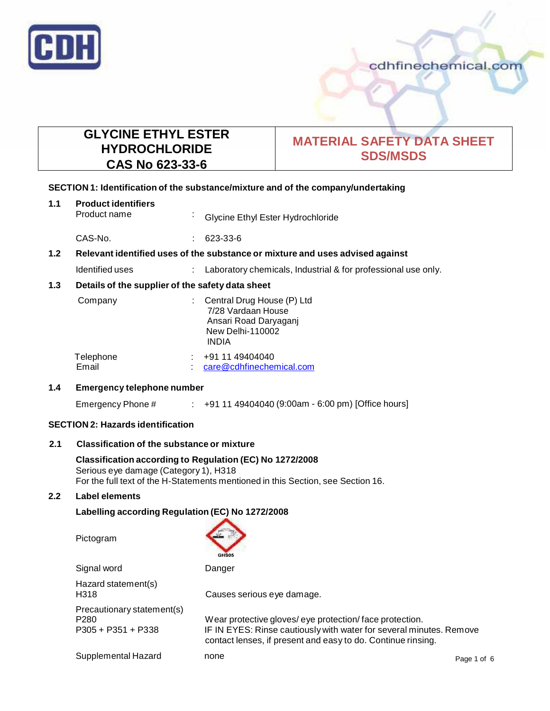

# **GLYCINE ETHYL ESTER HYDROCHLORIDE CAS No 623-33-6**

# **MATERIAL SAFETY DATA SHEET SDS/MSDS**

# **SECTION 1: Identification of the substance/mixture and of the company/undertaking**

# **1.1 Product identifiers**

Glycine Ethyl Ester Hydrochloride

CAS-No. : 623-33-6

# **1.2 Relevant identified uses of the substance ormixture and uses advised against**

Identified uses : Laboratory chemicals, Industrial & for professional use only.

# **1.3 Details of the supplier of the safety data sheet**

| Company            | : Central Drug House (P) Ltd<br>7/28 Vardaan House<br>Ansari Road Daryaganj<br>New Delhi-110002<br>INDIA |  |
|--------------------|----------------------------------------------------------------------------------------------------------|--|
| Telephone<br>Email | +91 11 49404040<br>care@cdhfinechemical.com                                                              |  |

#### **1.4 Emergency telephone number**

Emergency Phone # : +91 11 49404040 (9:00am - 6:00 pm) [Office hours]

# **SECTION 2: Hazards identification**

# **2.1 Classification of the substance ormixture**

**Classification according to Regulation (EC) No 1272/2008** Serious eye damage (Category 1), H318 For the full text of the H-Statements mentioned in this Section, see Section 16.

#### **2.2 Label elements**

# **Labelling according Regulation (EC) No 1272/2008**

Pictogram



| Signal word                                                            | Danger                                                                                                                                                                                        |             |
|------------------------------------------------------------------------|-----------------------------------------------------------------------------------------------------------------------------------------------------------------------------------------------|-------------|
| Hazard statement(s)<br>H318                                            | Causes serious eye damage.                                                                                                                                                                    |             |
| Precautionary statement(s)<br>P <sub>280</sub><br>$P305 + P351 + P338$ | Wear protective gloves/eye protection/face protection.<br>IF IN EYES: Rinse cautiously with water for several minutes. Remove<br>contact lenses, if present and easy to do. Continue rinsing. |             |
| Supplemental Hazard                                                    | none                                                                                                                                                                                          | Page 1 of 6 |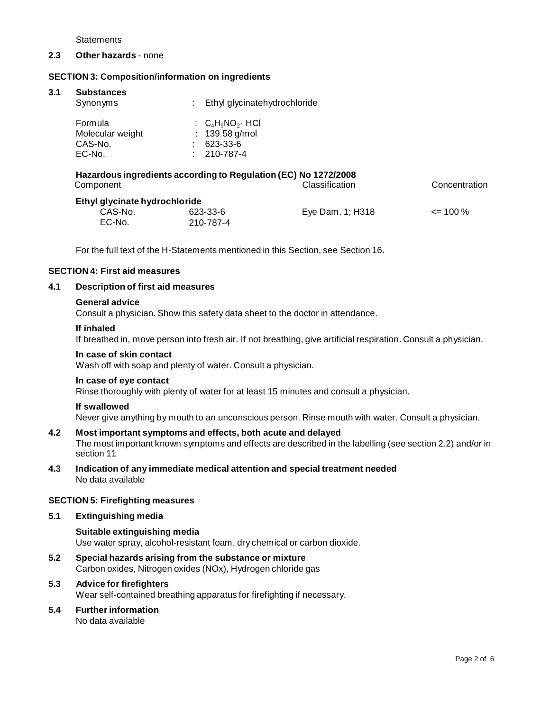**Statements** 

#### **2.3 Other hazards** - none

#### **SECTION 3: Composition/information on ingredients**

#### **3.1 Substances**

| Synonyms                                                       | ÷ | Ethyl glycinatehydrochloride                                            |  |  |
|----------------------------------------------------------------|---|-------------------------------------------------------------------------|--|--|
| Formula<br>Molecular weight<br>CAS-No.<br>EC-No.               |   | : $C_4H_9NO_2$ HCI<br>: $139.58$ g/mol<br>623-33-6<br>$: 210 - 787 - 4$ |  |  |
| Hererdous ingrediente coocrding to Dequision (EC) No 1272/2009 |   |                                                                         |  |  |

| Hazardous ingredients according to Requiation (EC) No 1272/2008<br>Component |           | Classification   | Concentration |  |  |
|------------------------------------------------------------------------------|-----------|------------------|---------------|--|--|
| Ethyl glycinate hydrochloride                                                |           |                  |               |  |  |
| CAS-No.                                                                      | 623-33-6  | Eve Dam, 1: H318 | $\leq$ 100 %  |  |  |
| EC-No.                                                                       | 210-787-4 |                  |               |  |  |

For the full text of the H-Statements mentioned in this Section, see Section 16.

#### **SECTION 4: First aid measures**

#### **4.1 Description of first aid measures**

#### **General advice**

Consult a physician. Show this safety data sheet to the doctor in attendance.

#### **If inhaled**

If breathed in, move person into fresh air. If not breathing, give artificial respiration. Consult a physician.

#### **In case of skin contact**

Wash off with soap and plenty of water. Consult a physician.

#### **In case of eye contact**

Rinse thoroughly with plenty of water for at least 15 minutes and consult a physician.

#### **If swallowed**

Never give anything by mouth to an unconscious person. Rinse mouth with water. Consult a physician.

- **4.2 Most important symptoms and effects, both acute and delayed** The most important known symptoms and effects are described in the labelling (see section 2.2) and/or in section 11
- **4.3 Indication of any immediate medical attention and special treatment needed** No data available

#### **SECTION 5: Firefighting measures**

**5.1 Extinguishing media**

# **Suitable extinguishing media** Use water spray, alcohol-resistant foam, dry chemical or carbon dioxide.

- **5.2 Special hazards arising from the substance ormixture** Carbon oxides, Nitrogen oxides (NOx), Hydrogen chloride gas
- **5.3 Advice for firefighters**

Wear self-contained breathing apparatus for firefighting if necessary.

**5.4 Further information**

No data available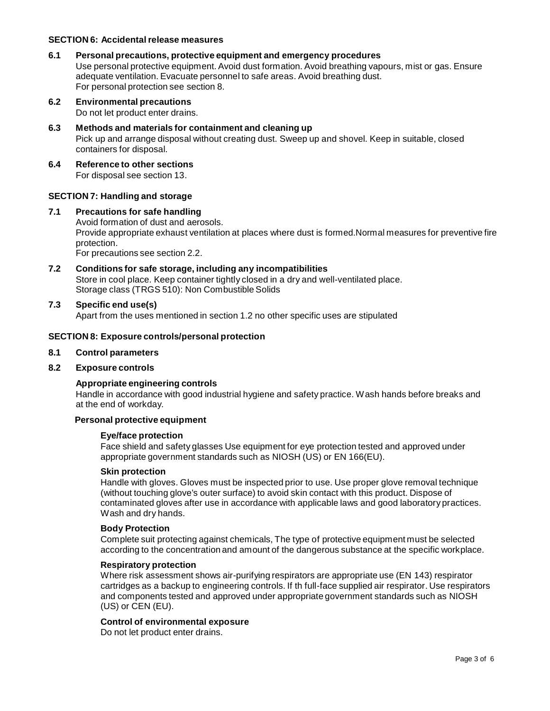#### **SECTION 6: Accidentalrelease measures**

#### **6.1 Personal precautions, protective equipment and emergency procedures**

Use personal protective equipment. Avoid dust formation. Avoid breathing vapours, mist or gas. Ensure adequate ventilation. Evacuate personnel to safe areas. Avoid breathing dust. For personal protection see section 8.

- **6.2 Environmental precautions** Do not let product enter drains.
- **6.3 Methods and materials for containment and cleaning up** Pick up and arrange disposal without creating dust. Sweep up and shovel. Keep in suitable, closed containers for disposal.
- **6.4 Reference to other sections** For disposal see section 13.

# **SECTION 7: Handling and storage**

#### **7.1 Precautions for safe handling**

Avoid formation of dust and aerosols. Provide appropriate exhaust ventilation at places where dust is formed.Normal measures for preventive fire protection. For precautions see section 2.2.

**7.2 Conditions for safe storage, including any incompatibilities** Store in cool place. Keep container tightly closed in a dry and well-ventilated place. Storage class (TRGS 510): Non Combustible Solids

#### **7.3 Specific end use(s)**

Apart from the uses mentioned in section 1.2 no other specific uses are stipulated

#### **SECTION 8: Exposure controls/personal protection**

#### **8.1 Control parameters**

#### **8.2 Exposure controls**

#### **Appropriate engineering controls**

Handle in accordance with good industrial hygiene and safety practice. Wash hands before breaks and at the end of workday.

#### **Personal protective equipment**

#### **Eye/face protection**

Face shield and safety glasses Use equipment for eye protection tested and approved under appropriate government standards such as NIOSH (US) or EN 166(EU).

#### **Skin protection**

Handle with gloves. Gloves must be inspected prior to use. Use proper glove removal technique (without touching glove's outer surface) to avoid skin contact with this product. Dispose of contaminated gloves after use in accordance with applicable laws and good laboratory practices. Wash and dry hands.

#### **Body Protection**

Complete suit protecting against chemicals, The type of protective equipment must be selected according to the concentration and amount of the dangerous substance at the specific workplace.

#### **Respiratory protection**

Where risk assessment shows air-purifying respirators are appropriate use (EN 143) respirator cartridges as a backup to engineering controls. If th full-face supplied air respirator. Use respirators and components tested and approved under appropriate government standards such as NIOSH (US) or CEN (EU).

#### **Control of environmental exposure**

Do not let product enter drains.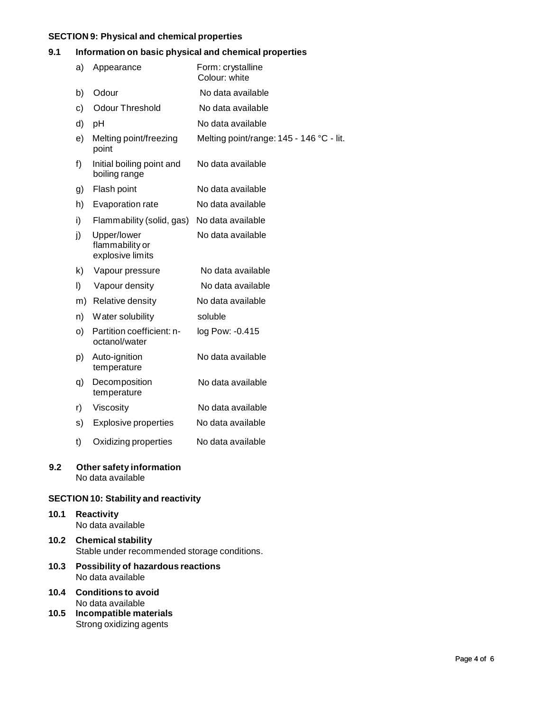# **SECTION 9: Physical and chemical properties**

# **9.1 Information on basic physical and chemical properties**

|     | a) | Appearance                                         | Form: crystalline<br>Colour: white       |
|-----|----|----------------------------------------------------|------------------------------------------|
|     | b) | Odour                                              | No data available                        |
|     | c) | <b>Odour Threshold</b>                             | No data available                        |
|     | d) | pH                                                 | No data available                        |
|     | e) | Melting point/freezing<br>point                    | Melting point/range: 145 - 146 °C - lit. |
|     | f) | Initial boiling point and<br>boiling range         | No data available                        |
|     | g) | Flash point                                        | No data available                        |
|     | h) | Evaporation rate                                   | No data available                        |
|     | i) | Flammability (solid, gas)                          | No data available                        |
|     | j) | Upper/lower<br>flammability or<br>explosive limits | No data available                        |
|     | k) | Vapour pressure                                    | No data available                        |
|     | I) | Vapour density                                     | No data available                        |
|     |    | m) Relative density                                | No data available                        |
|     | n) | Water solubility                                   | soluble                                  |
|     | O) | Partition coefficient: n-<br>octanol/water         | log Pow: -0.415                          |
|     | p) | Auto-ignition<br>temperature                       | No data available                        |
|     | q) | Decomposition<br>temperature                       | No data available                        |
|     | r) | Viscosity                                          | No data available                        |
|     | s) | <b>Explosive properties</b>                        | No data available                        |
|     | t) | Oxidizing properties                               | No data available                        |
| 9.2 |    | Other safety information                           |                                          |

No data available

# **SECTION 10: Stability and reactivity**

- **10.1 Reactivity** No data available
- **10.2 Chemical stability** Stable under recommended storage conditions.
- **10.3 Possibility of hazardous reactions** No data available
- **10.4 Conditions to avoid** No data available
- **10.5 Incompatible materials** Strong oxidizing agents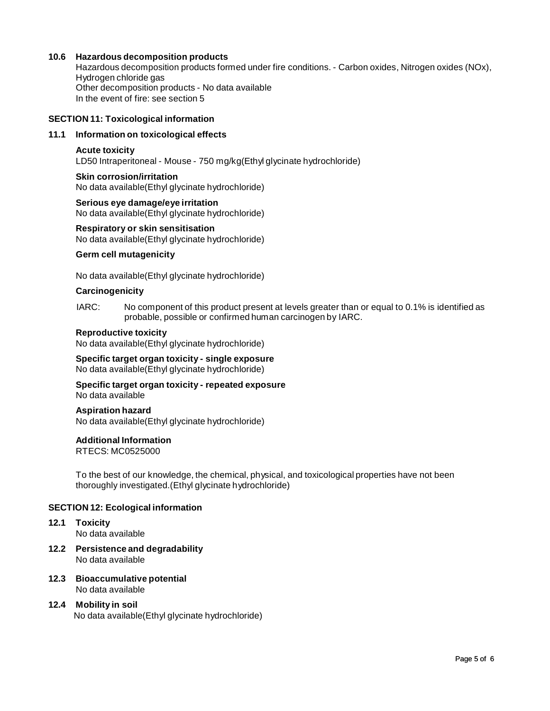# **10.6 Hazardous decomposition products**

Hazardous decomposition products formed under fire conditions. - Carbon oxides, Nitrogen oxides (NOx), Hydrogen chloride gas Other decomposition products - No data available In the event of fire: see section 5

#### **SECTION 11: Toxicological information**

#### **11.1 Information on toxicological effects**

#### **Acute toxicity**

LD50 Intraperitoneal - Mouse - 750 mg/kg(Ethyl glycinate hydrochloride)

#### **Skin corrosion/irritation** No data available(Ethyl glycinate hydrochloride)

**Serious eye damage/eye irritation** No data available(Ethyl glycinate hydrochloride)

#### **Respiratory orskin sensitisation**

No data available(Ethyl glycinate hydrochloride)

#### **Germ cell mutagenicity**

No data available(Ethyl glycinate hydrochloride)

#### **Carcinogenicity**

IARC: No component of this product present at levels greater than or equal to 0.1% is identified as probable, possible or confirmed human carcinogen by IARC.

#### **Reproductive toxicity**

No data available(Ethyl glycinate hydrochloride)

#### **Specific target organ toxicity - single exposure** No data available(Ethyl glycinate hydrochloride)

#### **Specific target organ toxicity - repeated exposure** No data available

#### **Aspiration hazard**

No data available(Ethyl glycinate hydrochloride)

#### **Additional Information**

RTECS: MC0525000

To the best of our knowledge, the chemical, physical, and toxicological properties have not been thoroughly investigated.(Ethyl glycinate hydrochloride)

#### **SECTION 12: Ecological information**

# **12.1 Toxicity**

No data available

- **12.2 Persistence and degradability** No data available
- **12.3 Bioaccumulative potential** No data available

# **12.4 Mobility in soil**

No data available(Ethyl glycinate hydrochloride)